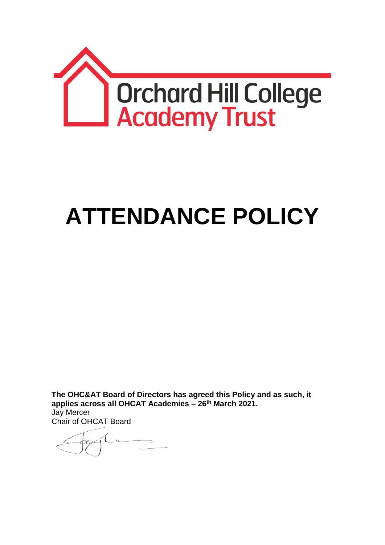

# **ATTENDANCE POLICY**

**The OHC&AT Board of Directors has agreed this Policy and as such, it applies across all OHCAT Academies – 26th March 2021.** Jay Mercer

Chair of OHCAT Board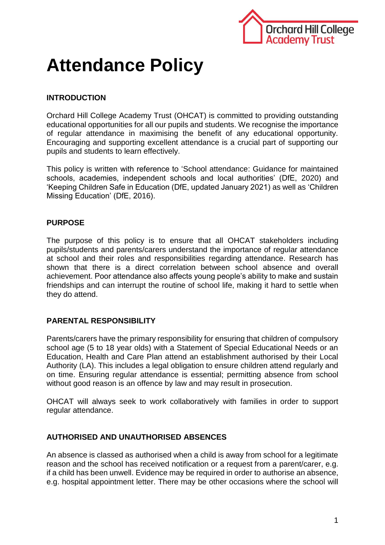

# **Attendance Policy**

# **INTRODUCTION**

Orchard Hill College Academy Trust (OHCAT) is committed to providing outstanding educational opportunities for all our pupils and students. We recognise the importance of regular attendance in maximising the benefit of any educational opportunity. Encouraging and supporting excellent attendance is a crucial part of supporting our pupils and students to learn effectively.

This policy is written with reference to 'School attendance: Guidance for maintained schools, academies, independent schools and local authorities' (DfE, 2020) and 'Keeping Children Safe in Education (DfE, updated January 2021) as well as 'Children Missing Education' (DfE, 2016).

## **PURPOSE**

The purpose of this policy is to ensure that all OHCAT stakeholders including pupils/students and parents/carers understand the importance of regular attendance at school and their roles and responsibilities regarding attendance. Research has shown that there is a direct correlation between school absence and overall achievement. Poor attendance also affects young people's ability to make and sustain friendships and can interrupt the routine of school life, making it hard to settle when they do attend.

#### **PARENTAL RESPONSIBILITY**

Parents/carers have the primary responsibility for ensuring that children of compulsory school age (5 to 18 year olds) with a Statement of Special Educational Needs or an Education, Health and Care Plan attend an establishment authorised by their Local Authority (LA). This includes a legal obligation to ensure children attend regularly and on time. Ensuring regular attendance is essential; permitting absence from school without good reason is an offence by law and may result in prosecution.

OHCAT will always seek to work collaboratively with families in order to support regular attendance.

#### **AUTHORISED AND UNAUTHORISED ABSENCES**

An absence is classed as authorised when a child is away from school for a legitimate reason and the school has received notification or a request from a parent/carer, e.g. if a child has been unwell. Evidence may be required in order to authorise an absence, e.g. hospital appointment letter. There may be other occasions where the school will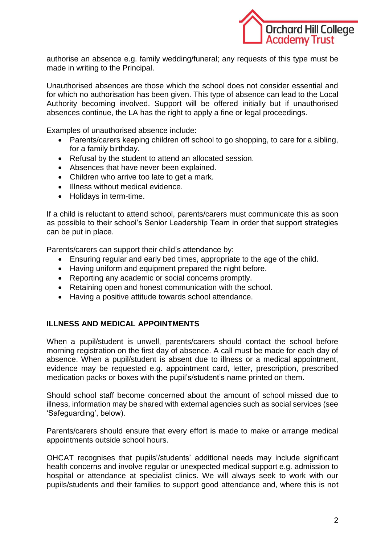

authorise an absence e.g. family wedding/funeral; any requests of this type must be made in writing to the Principal.

Unauthorised absences are those which the school does not consider essential and for which no authorisation has been given. This type of absence can lead to the Local Authority becoming involved. Support will be offered initially but if unauthorised absences continue, the LA has the right to apply a fine or legal proceedings.

Examples of unauthorised absence include:

- Parents/carers keeping children off school to go shopping, to care for a sibling, for a family birthday.
- Refusal by the student to attend an allocated session.
- Absences that have never been explained.
- Children who arrive too late to get a mark.
- Illness without medical evidence.
- Holidays in term-time.

If a child is reluctant to attend school, parents/carers must communicate this as soon as possible to their school's Senior Leadership Team in order that support strategies can be put in place.

Parents/carers can support their child's attendance by:

- Ensuring regular and early bed times, appropriate to the age of the child.
- Having uniform and equipment prepared the night before.
- Reporting any academic or social concerns promptly.
- Retaining open and honest communication with the school.
- Having a positive attitude towards school attendance.

#### **ILLNESS AND MEDICAL APPOINTMENTS**

When a pupil/student is unwell, parents/carers should contact the school before morning registration on the first day of absence. A call must be made for each day of absence. When a pupil/student is absent due to illness or a medical appointment, evidence may be requested e.g. appointment card, letter, prescription, prescribed medication packs or boxes with the pupil's/student's name printed on them.

Should school staff become concerned about the amount of school missed due to illness, information may be shared with external agencies such as social services (see 'Safeguarding', below).

Parents/carers should ensure that every effort is made to make or arrange medical appointments outside school hours.

OHCAT recognises that pupils'/students' additional needs may include significant health concerns and involve regular or unexpected medical support e.g. admission to hospital or attendance at specialist clinics. We will always seek to work with our pupils/students and their families to support good attendance and, where this is not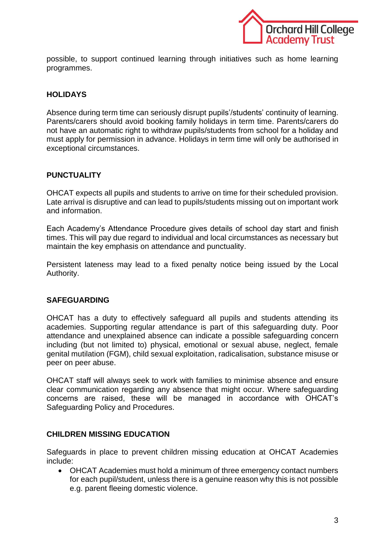

possible, to support continued learning through initiatives such as home learning programmes.

# **HOLIDAYS**

Absence during term time can seriously disrupt pupils'/students' continuity of learning. Parents/carers should avoid booking family holidays in term time. Parents/carers do not have an automatic right to withdraw pupils/students from school for a holiday and must apply for permission in advance. Holidays in term time will only be authorised in exceptional circumstances.

## **PUNCTUALITY**

OHCAT expects all pupils and students to arrive on time for their scheduled provision. Late arrival is disruptive and can lead to pupils/students missing out on important work and information.

Each Academy's Attendance Procedure gives details of school day start and finish times. This will pay due regard to individual and local circumstances as necessary but maintain the key emphasis on attendance and punctuality.

Persistent lateness may lead to a fixed penalty notice being issued by the Local Authority.

# **SAFEGUARDING**

OHCAT has a duty to effectively safeguard all pupils and students attending its academies. Supporting regular attendance is part of this safeguarding duty. Poor attendance and unexplained absence can indicate a possible safeguarding concern including (but not limited to) physical, emotional or sexual abuse, neglect, female genital mutilation (FGM), child sexual exploitation, radicalisation, substance misuse or peer on peer abuse.

OHCAT staff will always seek to work with families to minimise absence and ensure clear communication regarding any absence that might occur. Where safeguarding concerns are raised, these will be managed in accordance with OHCAT's Safeguarding Policy and Procedures.

#### **CHILDREN MISSING EDUCATION**

Safeguards in place to prevent children missing education at OHCAT Academies include:

 OHCAT Academies must hold a minimum of three emergency contact numbers for each pupil/student, unless there is a genuine reason why this is not possible e.g. parent fleeing domestic violence.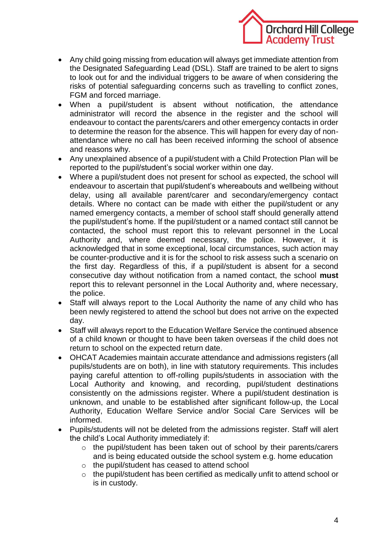

- Any child going missing from education will always get immediate attention from the Designated Safeguarding Lead (DSL). Staff are trained to be alert to signs to look out for and the individual triggers to be aware of when considering the risks of potential safeguarding concerns such as travelling to conflict zones, FGM and forced marriage.
- When a pupil/student is absent without notification, the attendance administrator will record the absence in the register and the school will endeavour to contact the parents/carers and other emergency contacts in order to determine the reason for the absence. This will happen for every day of nonattendance where no call has been received informing the school of absence and reasons why.
- Any unexplained absence of a pupil/student with a Child Protection Plan will be reported to the pupil/student's social worker within one day.
- Where a pupil/student does not present for school as expected, the school will endeavour to ascertain that pupil/student's whereabouts and wellbeing without delay, using all available parent/carer and secondary/emergency contact details. Where no contact can be made with either the pupil/student or any named emergency contacts, a member of school staff should generally attend the pupil/student's home. If the pupil/student or a named contact still cannot be contacted, the school must report this to relevant personnel in the Local Authority and, where deemed necessary, the police. However, it is acknowledged that in some exceptional, local circumstances, such action may be counter-productive and it is for the school to risk assess such a scenario on the first day. Regardless of this, if a pupil/student is absent for a second consecutive day without notification from a named contact, the school **must** report this to relevant personnel in the Local Authority and, where necessary, the police.
- Staff will always report to the Local Authority the name of any child who has been newly registered to attend the school but does not arrive on the expected day.
- Staff will always report to the Education Welfare Service the continued absence of a child known or thought to have been taken overseas if the child does not return to school on the expected return date.
- OHCAT Academies maintain accurate attendance and admissions registers (all pupils/students are on both), in line with statutory requirements. This includes paying careful attention to off-rolling pupils/students in association with the Local Authority and knowing, and recording, pupil/student destinations consistently on the admissions register. Where a pupil/student destination is unknown, and unable to be established after significant follow-up, the Local Authority, Education Welfare Service and/or Social Care Services will be informed.
- Pupils/students will not be deleted from the admissions register. Staff will alert the child's Local Authority immediately if:
	- o the pupil/student has been taken out of school by their parents/carers and is being educated outside the school system e.g. home education
	- o the pupil/student has ceased to attend school
	- o the pupil/student has been certified as medically unfit to attend school or is in custody.